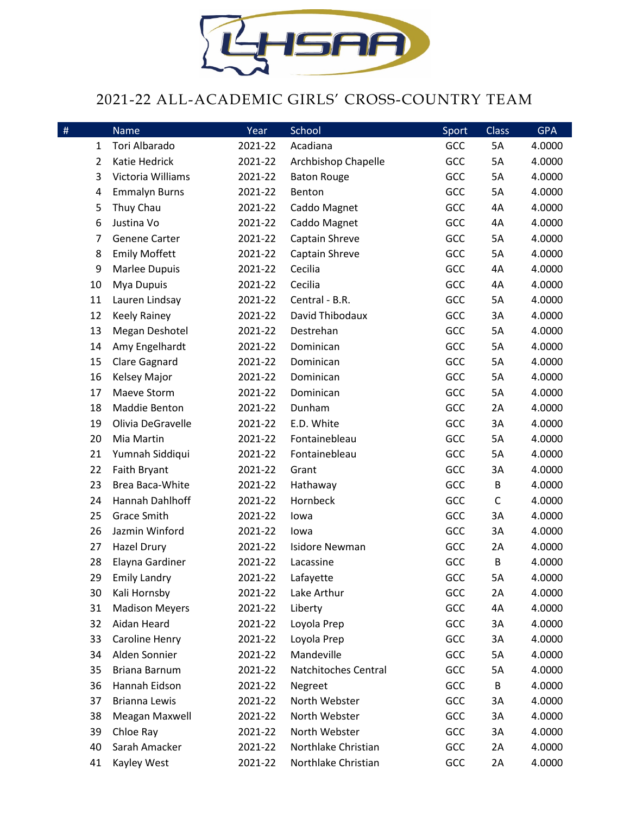

## 2021-22 ALL-ACADEMIC GIRLS' CROSS-COUNTRY TEAM

| $\#$ | <b>Name</b>           | Year    | School                | Sport | <b>Class</b> | <b>GPA</b> |
|------|-----------------------|---------|-----------------------|-------|--------------|------------|
| 1    | Tori Albarado         | 2021-22 | Acadiana              | GCC   | 5A           | 4.0000     |
| 2    | Katie Hedrick         | 2021-22 | Archbishop Chapelle   | GCC   | 5A           | 4.0000     |
| 3    | Victoria Williams     | 2021-22 | <b>Baton Rouge</b>    | GCC   | 5A           | 4.0000     |
| 4    | <b>Emmalyn Burns</b>  | 2021-22 | Benton                | GCC   | 5A           | 4.0000     |
| 5    | Thuy Chau             | 2021-22 | Caddo Magnet          | GCC   | 4A           | 4.0000     |
| 6    | Justina Vo            | 2021-22 | Caddo Magnet          | GCC   | 4A           | 4.0000     |
| 7    | <b>Genene Carter</b>  | 2021-22 | Captain Shreve        | GCC   | 5A           | 4.0000     |
| 8    | <b>Emily Moffett</b>  | 2021-22 | Captain Shreve        | GCC   | 5A           | 4.0000     |
| 9    | Marlee Dupuis         | 2021-22 | Cecilia               | GCC   | 4A           | 4.0000     |
| 10   | Mya Dupuis            | 2021-22 | Cecilia               | GCC   | 4A           | 4.0000     |
| 11   | Lauren Lindsay        | 2021-22 | Central - B.R.        | GCC   | 5A           | 4.0000     |
| 12   | <b>Keely Rainey</b>   | 2021-22 | David Thibodaux       | GCC   | 3A           | 4.0000     |
| 13   | Megan Deshotel        | 2021-22 | Destrehan             | GCC   | 5A           | 4.0000     |
| 14   | Amy Engelhardt        | 2021-22 | Dominican             | GCC   | 5A           | 4.0000     |
| 15   | <b>Clare Gagnard</b>  | 2021-22 | Dominican             | GCC   | 5A           | 4.0000     |
| 16   | Kelsey Major          | 2021-22 | Dominican             | GCC   | 5A           | 4.0000     |
| 17   | Maeve Storm           | 2021-22 | Dominican             | GCC   | 5A           | 4.0000     |
| 18   | Maddie Benton         | 2021-22 | Dunham                | GCC   | 2A           | 4.0000     |
| 19   | Olivia DeGravelle     | 2021-22 | E.D. White            | GCC   | 3A           | 4.0000     |
| 20   | Mia Martin            | 2021-22 | Fontainebleau         | GCC   | 5A           | 4.0000     |
| 21   | Yumnah Siddiqui       | 2021-22 | Fontainebleau         | GCC   | 5A           | 4.0000     |
| 22   | Faith Bryant          | 2021-22 | Grant                 | GCC   | 3A           | 4.0000     |
| 23   | Brea Baca-White       | 2021-22 | Hathaway              | GCC   | B            | 4.0000     |
| 24   | Hannah Dahlhoff       | 2021-22 | Hornbeck              | GCC   | $\mathsf C$  | 4.0000     |
| 25   | <b>Grace Smith</b>    | 2021-22 | lowa                  | GCC   | 3A           | 4.0000     |
| 26   | Jazmin Winford        | 2021-22 | lowa                  | GCC   | 3A           | 4.0000     |
| 27   | <b>Hazel Drury</b>    | 2021-22 | <b>Isidore Newman</b> | GCC   | 2A           | 4.0000     |
| 28   | Elayna Gardiner       | 2021-22 | Lacassine             | GCC   | B            | 4.0000     |
| 29   | <b>Emily Landry</b>   | 2021-22 | Lafayette             | GCC   | 5А           | 4.0000     |
| 30   | Kali Hornsby          | 2021-22 | Lake Arthur           | GCC   | 2A           | 4.0000     |
| 31   | <b>Madison Meyers</b> | 2021-22 | Liberty               | GCC   | 4A           | 4.0000     |
| 32   | Aidan Heard           | 2021-22 | Loyola Prep           | GCC   | 3A           | 4.0000     |
| 33   | Caroline Henry        | 2021-22 | Loyola Prep           | GCC   | 3A           | 4.0000     |
| 34   | Alden Sonnier         | 2021-22 | Mandeville            | GCC   | 5A           | 4.0000     |
| 35   | Briana Barnum         | 2021-22 | Natchitoches Central  | GCC   | 5A           | 4.0000     |
| 36   | Hannah Eidson         | 2021-22 | Negreet               | GCC   | B            | 4.0000     |
| 37   | Brianna Lewis         | 2021-22 | North Webster         | GCC   | 3A           | 4.0000     |
| 38   | Meagan Maxwell        | 2021-22 | North Webster         | GCC   | 3A           | 4.0000     |
| 39   | Chloe Ray             | 2021-22 | North Webster         | GCC   | 3A           | 4.0000     |
| 40   | Sarah Amacker         | 2021-22 | Northlake Christian   | GCC   | 2A           | 4.0000     |
| 41   | Kayley West           | 2021-22 | Northlake Christian   | GCC   | 2A           | 4.0000     |